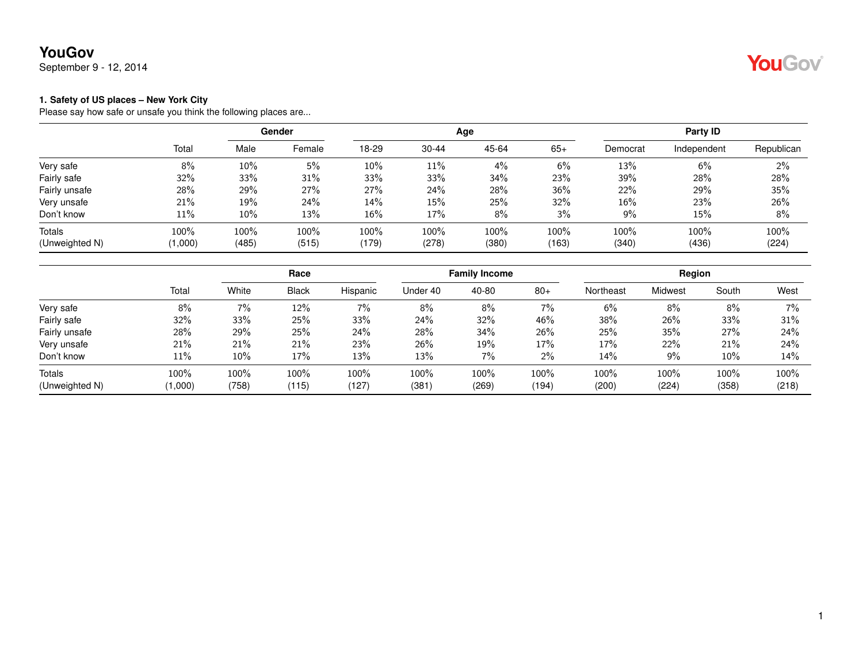September 9 - 12, 2014

## YouGov®

#### **1. Safety of US places – New York City**

|                |         |       | Gender |        |           | Age   |       |          | Party ID    |            |
|----------------|---------|-------|--------|--------|-----------|-------|-------|----------|-------------|------------|
|                | Total   | Male  | Female | 18-29  | $30 - 44$ | 45-64 | $65+$ | Democrat | Independent | Republican |
| Very safe      | 8%      | 10%   | 5%     | $10\%$ | 11%       | 4%    | 6%    | 13%      | 6%          | 2%         |
| Fairly safe    | 32%     | 33%   | 31%    | 33%    | 33%       | 34%   | 23%   | 39%      | 28%         | 28%        |
| Fairly unsafe  | 28%     | 29%   | 27%    | 27%    | 24%       | 28%   | 36%   | 22%      | 29%         | 35%        |
| Very unsafe    | 21%     | 19%   | 24%    | 14%    | 15%       | 25%   | 32%   | 16%      | 23%         | 26%        |
| Don't know     | 11%     | 10%   | 13%    | 16%    | 17%       | 8%    | 3%    | 9%       | 15%         | 8%         |
| Totals         | 100%    | 100%  | 100%   | 100%   | 100%      | 100%  | 100%  | 100%     | 100%        | 100%       |
| (Unweighted N) | (1,000) | (485) | (515)  | (179)  | (278)     | (380) | (163) | (340)    | (436)       | (224)      |

|                |         |        | Race         |          | <b>Family Income</b> |       |       | Region    |         |       |       |
|----------------|---------|--------|--------------|----------|----------------------|-------|-------|-----------|---------|-------|-------|
|                | Total   | White  | <b>Black</b> | Hispanic | Under 40             | 40-80 | $80+$ | Northeast | Midwest | South | West  |
| Very safe      | 8%      | 7%     | 12%          | $7\%$    | 8%                   | 8%    | 7%    | 6%        | 8%      | 8%    | 7%    |
| Fairly safe    | 32%     | 33%    | 25%          | 33%      | 24%                  | 32%   | 46%   | 38%       | 26%     | 33%   | 31%   |
| Fairly unsafe  | 28%     | 29%    | 25%          | 24%      | 28%                  | 34%   | 26%   | 25%       | 35%     | 27%   | 24%   |
| Very unsafe    | 21%     | 21%    | 21%          | 23%      | 26%                  | 19%   | 17%   | 17%       | 22%     | 21%   | 24%   |
| Don't know     | 11%     | $10\%$ | 17%          | 13%      | 13%                  | 7%    | 2%    | 14%       | $9\%$   | 10%   | 14%   |
| Totals         | 100%    | 100%   | 100%         | 100%     | 100%                 | 100%  | 100%  | 100%      | 100%    | 100%  | 100%  |
| (Unweighted N) | (1,000) | (758)  | (115)        | (127)    | (381                 | (269) | (194) | (200)     | (224)   | (358) | (218) |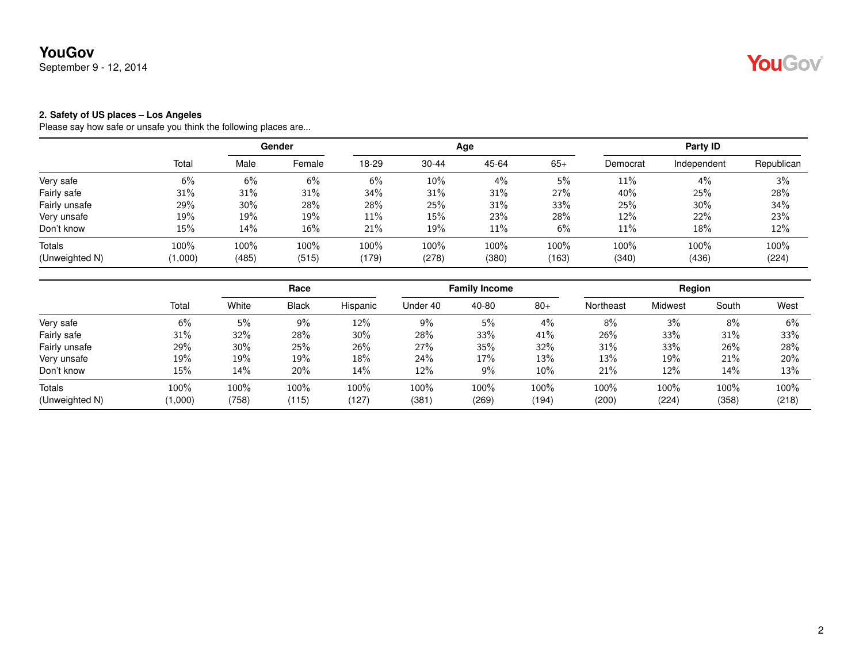September 9 - 12, 2014

#### **2. Safety of US places – Los Angeles**

|                |         | Gender |        |       |           | Age   | Party ID |          |             |            |
|----------------|---------|--------|--------|-------|-----------|-------|----------|----------|-------------|------------|
|                | Total   | Male   | Female | 18-29 | $30 - 44$ | 45-64 | $65+$    | Democrat | Independent | Republican |
| Very safe      | 6%      | 6%     | 6%     | 6%    | 10%       | 4%    | 5%       | $11\%$   | 4%          | 3%         |
| Fairly safe    | 31%     | 31%    | 31%    | 34%   | 31%       | 31%   | 27%      | 40%      | 25%         | 28%        |
| Fairly unsafe  | 29%     | 30%    | 28%    | 28%   | 25%       | 31%   | 33%      | 25%      | 30%         | 34%        |
| Very unsafe    | 19%     | 19%    | 19%    | 11%   | 15%       | 23%   | 28%      | 12%      | 22%         | 23%        |
| Don't know     | 15%     | 14%    | 16%    | 21%   | 19%       | 11%   | 6%       | 11%      | 18%         | 12%        |
| Totals         | 100%    | 100%   | 100%   | 100%  | 100%      | 100%  | 100%     | 100%     | 100%        | 100%       |
| (Unweighted N) | (1,000) | (485)  | (515)  | (179) | (278)     | (380) | (163)    | (340)    | (436)       | (224)      |

|                |         |       | Race         |          | <b>Family Income</b> |       |       | Region    |                |       |       |
|----------------|---------|-------|--------------|----------|----------------------|-------|-------|-----------|----------------|-------|-------|
|                | Total   | White | <b>Black</b> | Hispanic | Under 40             | 40-80 | $80+$ | Northeast | <b>Midwest</b> | South | West  |
| Very safe      | 6%      | 5%    | 9%           | 12%      | 9%                   | 5%    | 4%    | 8%        | 3%             | 8%    | 6%    |
| Fairly safe    | 31%     | 32%   | 28%          | $30\%$   | 28%                  | 33%   | 41%   | 26%       | 33%            | 31%   | 33%   |
| Fairly unsafe  | 29%     | 30%   | 25%          | 26%      | 27%                  | 35%   | 32%   | 31%       | 33%            | 26%   | 28%   |
| Very unsafe    | 19%     | 19%   | 19%          | $18\%$   | 24%                  | 17%   | 13%   | 13%       | 19%            | 21%   | 20%   |
| Don't know     | 15%     | 14%   | 20%          | 14%      | 12%                  | $9\%$ | 10%   | 21%       | 12%            | 14%   | 13%   |
| Totals         | 100%    | 100%  | 100%         | 100%     | 100%                 | 100%  | 100%  | 100%      | 100%           | 100%  | 100%  |
| (Unweighted N) | (1,000) | (758) | (115)        | (127)    | (381)                | (269) | (194) | (200)     | (224)          | (358) | (218) |

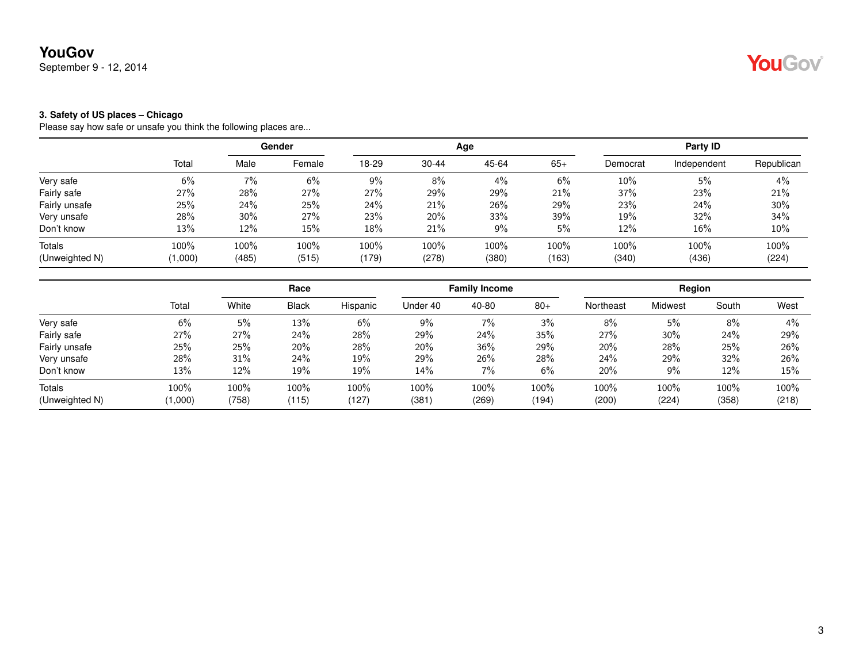September 9 - 12, 2014

#### **3. Safety of US places – Chicago**

|                |         |       | Gender |       |           | Age   |       |          | Party ID    |            |
|----------------|---------|-------|--------|-------|-----------|-------|-------|----------|-------------|------------|
|                | Total   | Male  | Female | 18-29 | $30 - 44$ | 45-64 | $65+$ | Democrat | Independent | Republican |
| Very safe      | 6%      | 7%    | 6%     | 9%    | 8%        | $4\%$ | 6%    | 10%      | 5%          | 4%         |
| Fairly safe    | 27%     | 28%   | 27%    | 27%   | 29%       | 29%   | 21%   | 37%      | 23%         | 21%        |
| Fairly unsafe  | 25%     | 24%   | 25%    | 24%   | 21%       | 26%   | 29%   | 23%      | 24%         | 30%        |
| Very unsafe    | 28%     | 30%   | 27%    | 23%   | 20%       | 33%   | 39%   | 19%      | 32%         | 34%        |
| Don't know     | 13%     | 12%   | 15%    | 18%   | 21%       | 9%    | 5%    | 12%      | 16%         | $10\%$     |
| Totals         | 100%    | 100%  | 100%   | 100%  | 100%      | 100%  | 100%  | 100%     | 100%        | 100%       |
| (Unweighted N) | (1,000) | (485) | (515)  | (179) | (278)     | (380) | (163) | (340)    | (436)       | (224)      |

|                          |                 | Race          |               | <b>Family Income</b> |               |               | Region        |               |               |               |               |
|--------------------------|-----------------|---------------|---------------|----------------------|---------------|---------------|---------------|---------------|---------------|---------------|---------------|
|                          | Total           | White         | <b>Black</b>  | Hispanic             | Under 40      | 40-80         | $80+$         | Northeast     | Midwest       | South         | West          |
| Very safe                | 6%              | 5%            | 13%           | 6%                   | 9%            | 7%            | 3%            | 8%            | 5%            | 8%            | 4%            |
| Fairly safe              | 27%             | 27%           | 24%           | 28%                  | 29%           | 24%           | 35%           | 27%           | 30%           | 24%           | 29%           |
| Fairly unsafe            | 25%             | 25%           | 20%           | 28%                  | 20%           | 36%           | 29%           | 20%           | 28%           | 25%           | 26%           |
| Very unsafe              | 28%             | 31%           | 24%           | 19%                  | 29%           | 26%           | 28%           | 24%           | 29%           | 32%           | 26%           |
| Don't know               | 13%             | 12%           | 19%           | 19%                  | 14%           | 7%            | 6%            | 20%           | 9%            | 12%           | 15%           |
| Totals<br>(Unweighted N) | 100%<br>(000, ا | 100%<br>(758) | 100%<br>(115) | 100%<br>(127)        | 100%<br>(381) | 100%<br>(269) | 100%<br>(194) | 100%<br>(200) | 100%<br>(224) | 100%<br>(358) | 100%<br>(218) |

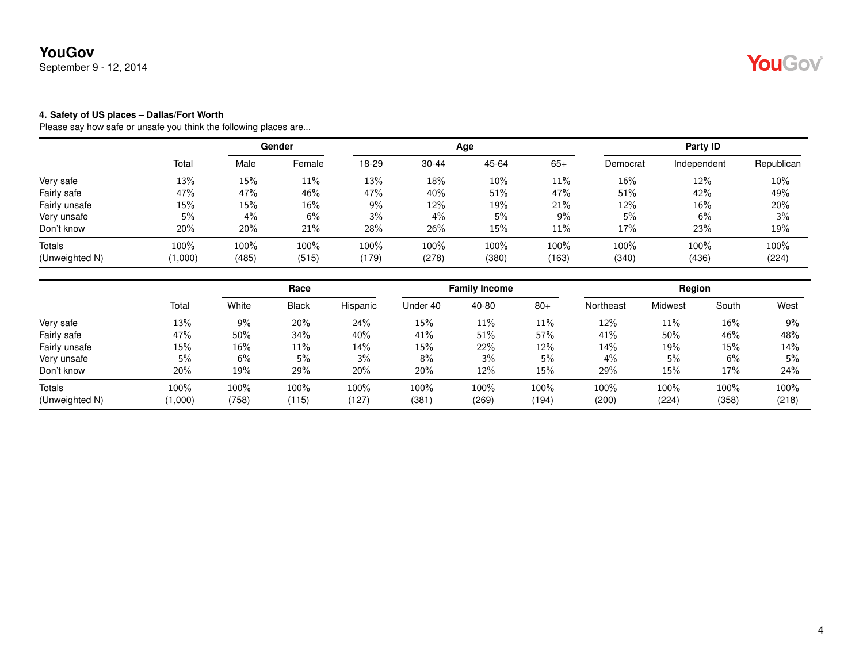September 9 - 12, 2014

#### **4. Safety of US places – Dallas/Fort Worth**

|                |         |       | Gender |       |           | Age   |       |          | Party ID    |            |
|----------------|---------|-------|--------|-------|-----------|-------|-------|----------|-------------|------------|
|                | Total   | Male  | Female | 18-29 | $30 - 44$ | 45-64 | $65+$ | Democrat | Independent | Republican |
| Very safe      | 13%     | 15%   | 11%    | 13%   | 18%       | 10%   | 11%   | 16%      | 12%         | 10%        |
| Fairly safe    | 47%     | 47%   | 46%    | 47%   | 40%       | 51%   | 47%   | 51%      | 42%         | 49%        |
| Fairly unsafe  | 15%     | 15%   | 16%    | 9%    | 12%       | 19%   | 21%   | 12%      | 16%         | 20%        |
| Very unsafe    | 5%      | 4%    | 6%     | 3%    | 4%        | 5%    | 9%    | 5%       | 6%          | 3%         |
| Don't know     | 20%     | 20%   | 21%    | 28%   | 26%       | 15%   | 11%   | 17%      | 23%         | 19%        |
| Totals         | 100%    | 100%  | 100%   | 100%  | 100%      | 100%  | 100%  | 100%     | 100%        | 100%       |
| (Unweighted N) | (1,000) | (485) | (515)  | (179) | (278)     | (380) | (163) | (340)    | (436)       | (224)      |

|                          |                 | Race          |               |               | <b>Family Income</b> |               |               | Region        |               |               |               |
|--------------------------|-----------------|---------------|---------------|---------------|----------------------|---------------|---------------|---------------|---------------|---------------|---------------|
|                          | Total           | White         | <b>Black</b>  | Hispanic      | Under 40             | 40-80         | $80+$         | Northeast     | Midwest       | South         | West          |
| Very safe                | 13%             | 9%            | 20%           | 24%           | 15%                  | 11%           | 11%           | 12%           | 11%           | 16%           | 9%            |
| Fairly safe              | 47%             | 50%           | 34%           | 40%           | 41%                  | 51%           | 57%           | 41%           | 50%           | 46%           | 48%           |
| Fairly unsafe            | 15%             | $16\%$        | 11%           | 14%           | 15%                  | 22%           | 12%           | 14%           | 19%           | 15%           | 14%           |
| Very unsafe              | 5%              | 6%            | 5%            | 3%            | 8%                   | 3%            | 5%            | $4\%$         | 5%            | 6%            | 5%            |
| Don't know               | 20%             | 19%           | 29%           | 20%           | 20%                  | 12%           | 15%           | 29%           | 15%           | 17%           | 24%           |
| Totals<br>(Unweighted N) | 100%<br>(1,000) | 100%<br>(758) | 100%<br>(115) | 100%<br>(127) | 100%<br>(381         | 100%<br>(269) | 100%<br>(194) | 100%<br>(200) | 100%<br>(224) | 100%<br>(358) | 100%<br>(218) |

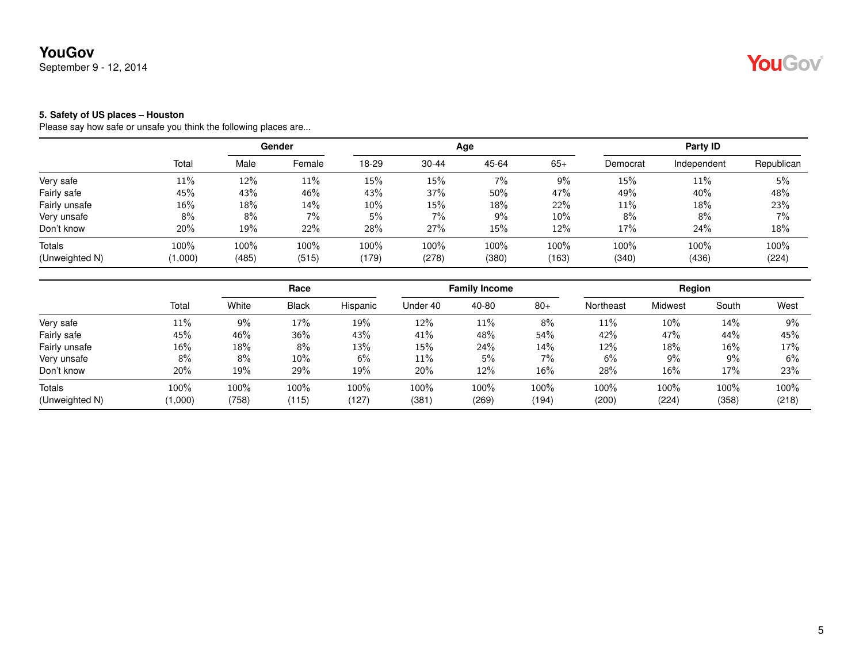September 9 - 12, 2014

#### **5. Safety of US places – Houston**

|                |         |       | Gender |       |           | Age   |        |          | <b>Party ID</b> |            |
|----------------|---------|-------|--------|-------|-----------|-------|--------|----------|-----------------|------------|
|                | Total   | Male  | Female | 18-29 | $30 - 44$ | 45-64 | $65+$  | Democrat | Independent     | Republican |
| Very safe      | 11%     | 12%   | 11%    | 15%   | 15%       | 7%    | $9\%$  | 15%      | 11%             | 5%         |
| Fairly safe    | 45%     | 43%   | 46%    | 43%   | 37%       | 50%   | 47%    | 49%      | 40%             | 48%        |
| Fairly unsafe  | 16%     | 18%   | 14%    | 10%   | 15%       | 18%   | 22%    | 11%      | 18%             | 23%        |
| Very unsafe    | 8%      | 8%    | 7%     | 5%    | 7%        | 9%    | $10\%$ | 8%       | 8%              | 7%         |
| Don't know     | 20%     | 19%   | 22%    | 28%   | 27%       | 15%   | 12%    | 17%      | 24%             | 18%        |
| <b>Totals</b>  | 100%    | 100%  | 100%   | 100%  | 100%      | 100%  | 100%   | 100%     | 100%            | 100%       |
| (Unweighted N) | (1,000) | (485) | (515)  | (179) | (278)     | (380) | (163)  | (340)    | (436)           | (224)      |

|                          |                 |               | Race          |               |              | <b>Family Income</b> |               |               | Region        |               |               |  |
|--------------------------|-----------------|---------------|---------------|---------------|--------------|----------------------|---------------|---------------|---------------|---------------|---------------|--|
|                          | Total           | White         | <b>Black</b>  | Hispanic      | Under 40     | 40-80                | $80+$         | Northeast     | Midwest       | South         | West          |  |
| Very safe                | 11%             | 9%            | 17%           | 19%           | 12%          | 11%                  | 8%            | 11%           | $10\%$        | 14%           | 9%            |  |
| Fairly safe              | 45%             | 46%           | 36%           | 43%           | 41%          | 48%                  | 54%           | 42%           | 47%           | 44%           | 45%           |  |
| Fairly unsafe            | $16\%$          | 18%           | 8%            | 13%           | 15%          | 24%                  | 14%           | 12%           | 18%           | 16%           | 17%           |  |
| Very unsafe              | 8%              | 8%            | 10%           | 6%            | 11%          | 5%                   | 7%            | 6%            | $9\%$         | $9\%$         | 6%            |  |
| Don't know               | 20%             | 19%           | 29%           | 19%           | 20%          | 12%                  | 16%           | 28%           | 16%           | 17%           | 23%           |  |
| Totals<br>(Unweighted N) | 100%<br>(1,000) | 100%<br>(758) | 100%<br>(115) | 100%<br>(127) | 100%<br>(381 | 100%<br>(269)        | 100%<br>(194) | 100%<br>(200) | 100%<br>(224) | 100%<br>(358) | 100%<br>(218) |  |

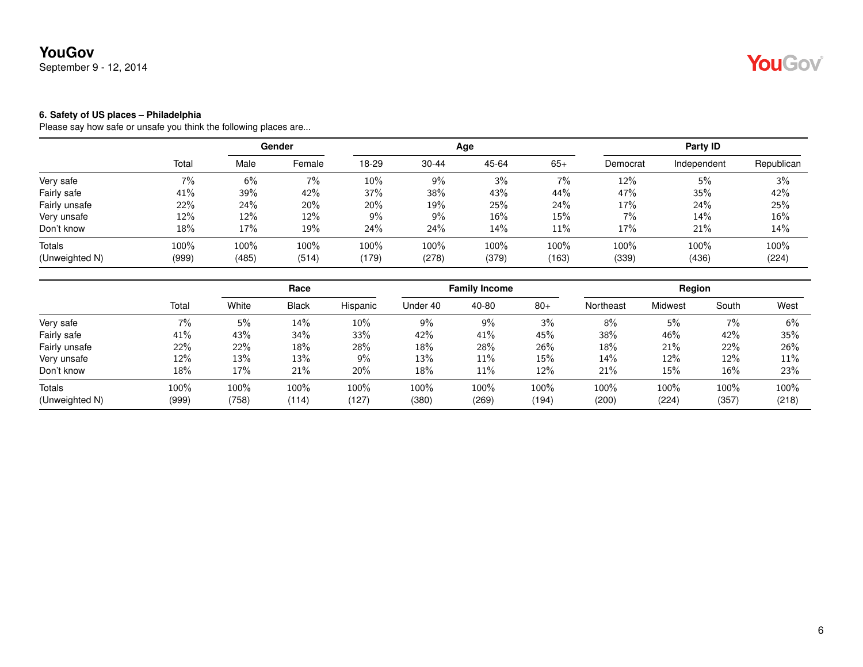September 9 - 12, 2014

#### **6. Safety of US places – Philadelphia**

|                |       | Gender |        |       |           | Age   | Party ID |          |             |            |
|----------------|-------|--------|--------|-------|-----------|-------|----------|----------|-------------|------------|
|                | Total | Male   | Female | 18-29 | $30 - 44$ | 45-64 | $65+$    | Democrat | Independent | Republican |
| Very safe      | 7%    | 6%     | 7%     | 10%   | 9%        | 3%    | $7\%$    | 12%      | 5%          | 3%         |
| Fairly safe    | 41%   | 39%    | 42%    | 37%   | 38%       | 43%   | 44%      | 47%      | 35%         | 42%        |
| Fairly unsafe  | 22%   | 24%    | 20%    | 20%   | 19%       | 25%   | 24%      | 17%      | 24%         | 25%        |
| Very unsafe    | 12%   | 12%    | 12%    | 9%    | 9%        | 16%   | 15%      | $7\%$    | 14%         | $16\%$     |
| Don't know     | 18%   | 17%    | 19%    | 24%   | 24%       | 14%   | 11%      | 17%      | 21%         | 14%        |
| Totals         | 100%  | 100%   | 100%   | 100%  | 100%      | 100%  | 100%     | 100%     | 100%        | 100%       |
| (Unweighted N) | (999) | (485)  | (514)  | (179) | (278)     | (379) | (163)    | (339)    | (436)       | (224)      |

|                               |       | Race  |              | <b>Family Income</b> |          |       | Region |           |         |       |               |
|-------------------------------|-------|-------|--------------|----------------------|----------|-------|--------|-----------|---------|-------|---------------|
|                               | Total | White | <b>Black</b> | Hispanic             | Under 40 | 40-80 | $80+$  | Northeast | Midwest | South | West          |
| Very safe                     | 7%    | 5%    | 14%          | $10\%$               | 9%       | 9%    | $3\%$  | 8%        | 5%      | $7\%$ | 6%            |
| Fairly safe                   | 41%   | 43%   | $34\%$       | 33%                  | 42%      | 41%   | 45%    | 38%       | 46%     | 42%   | 35%           |
| Fairly unsafe                 | 22%   | 22%   | 18%          | 28%                  | 18%      | 28%   | 26%    | 18%       | 21%     | 22%   | 26%           |
|                               | 12%   | 13%   | 13%          | 9%                   | 13%      | 11%   | 15%    | $14\%$    | 12%     | 12%   | 11%           |
| Don't know                    | 18%   | 17%   | 21%          | 20%                  | 18%      | 11%   | 12%    | 21%       | 15%     | 16%   | 23%           |
| Totals                        | 100%  | 100%  | 100%         | 100%                 | 100%     | 100%  | 100%   | 100%      | 100%    | 100%  | 100%<br>(218) |
| Very unsafe<br>(Unweighted N) | (999) | (758) | (114)        | (127)                | (380)    | (269) | (194)  | (200)     | (224)   | (357) |               |

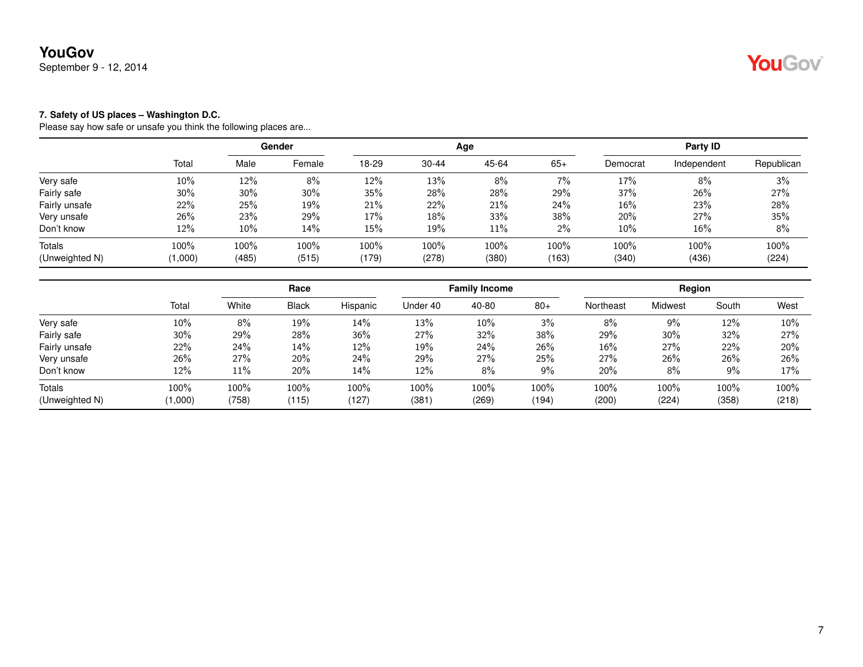September 9 - 12, 2014

#### **7. Safety of US places – Washington D.C.**

|                |         |       | Gender |       |           | Age   |       |          | Party ID    |            |
|----------------|---------|-------|--------|-------|-----------|-------|-------|----------|-------------|------------|
|                | Total   | Male  | Female | 18-29 | $30 - 44$ | 45-64 | $65+$ | Democrat | Independent | Republican |
| Very safe      | 10%     | 12%   | 8%     | 12%   | 13%       | 8%    | 7%    | 17%      | 8%          | 3%         |
| Fairly safe    | 30%     | 30%   | 30%    | 35%   | 28%       | 28%   | 29%   | 37%      | 26%         | 27%        |
| Fairly unsafe  | 22%     | 25%   | 19%    | 21%   | 22%       | 21%   | 24%   | 16%      | 23%         | 28%        |
| Very unsafe    | 26%     | 23%   | 29%    | 17%   | 18%       | 33%   | 38%   | 20%      | 27%         | 35%        |
| Don't know     | 12%     | 10%   | 14%    | 15%   | 19%       | 11%   | $2\%$ | 10%      | 16%         | 8%         |
| Totals         | 100%    | 100%  | 100%   | 100%  | 100%      | 100%  | 100%  | 100%     | 100%        | 100%       |
| (Unweighted N) | (1,000) | (485) | (515)  | (179) | (278)     | (380) | (163) | (340)    | (436)       | (224)      |

|                          |                 | Race          |               | <b>Family Income</b> |              |               | Region        |               |               |               |               |
|--------------------------|-----------------|---------------|---------------|----------------------|--------------|---------------|---------------|---------------|---------------|---------------|---------------|
|                          | Total           | White         | <b>Black</b>  | Hispanic             | Under 40     | 40-80         | $80+$         | Northeast     | Midwest       | South         | West          |
| Very safe                | 10%             | 8%            | 19%           | 14%                  | 13%          | $10\%$        | 3%            | 8%            | 9%            | 12%           | 10%           |
| Fairly safe              | 30%             | 29%           | 28%           | 36%                  | 27%          | 32%           | 38%           | 29%           | 30%           | 32%           | 27%           |
| Fairly unsafe            | 22%             | 24%           | 14%           | $12\%$               | 19%          | 24%           | 26%           | 16%           | 27%           | 22%           | 20%           |
| Very unsafe              | 26%             | 27%           | 20%           | 24%                  | 29%          | 27%           | 25%           | 27%           | 26%           | 26%           | 26%           |
| Don't know               | 12%             | $11\%$        | 20%           | 14%                  | 12%          | 8%            | 9%            | 20%           | 8%            | $9\%$         | 17%           |
| Totals<br>(Unweighted N) | 100%<br>(1,000) | 100%<br>(758) | 100%<br>(115) | 100%<br>(127)        | 100%<br>(381 | 100%<br>(269) | 100%<br>(194) | 100%<br>(200) | 100%<br>(224) | 100%<br>(358) | 100%<br>(218) |

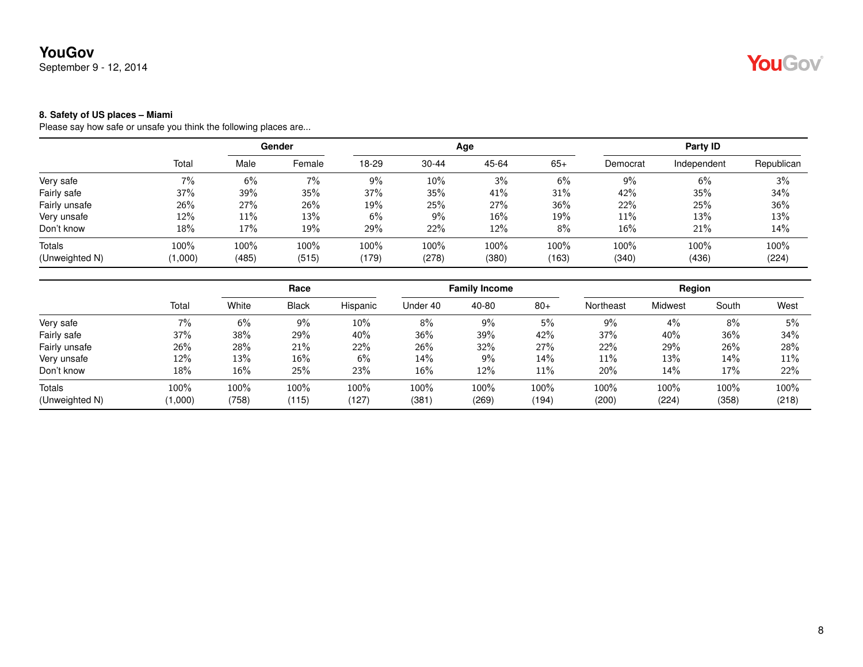September 9 - 12, 2014

#### **8. Safety of US places – Miami**

|                |         | Gender |        |       |           | Age   | Party ID |          |             |            |
|----------------|---------|--------|--------|-------|-----------|-------|----------|----------|-------------|------------|
|                | Total   | Male   | Female | 18-29 | $30 - 44$ | 45-64 | $65+$    | Democrat | Independent | Republican |
| Very safe      | 7%      | $6\%$  | 7%     | 9%    | 10%       | 3%    | 6%       | 9%       | 6%          | 3%         |
| Fairly safe    | 37%     | 39%    | 35%    | 37%   | 35%       | 41%   | 31%      | 42%      | 35%         | 34%        |
| Fairly unsafe  | 26%     | 27%    | 26%    | 19%   | 25%       | 27%   | $36\%$   | 22%      | 25%         | 36%        |
| Very unsafe    | 12%     | 11%    | 13%    | 6%    | 9%        | 16%   | 19%      | 11%      | 13%         | 13%        |
| Don't know     | 18%     | 17%    | 19%    | 29%   | 22%       | 12%   | $8\%$    | 16%      | 21%         | 14%        |
| Totals         | 100%    | 100%   | 100%   | 100%  | 100%      | 100%  | 100%     | 100%     | 100%        | 100%       |
| (Unweighted N) | (1,000) | (485)  | (515)  | (179) | (278)     | (380) | (163)    | (340)    | (436)       | (224)      |

|                |         | Race   |              |          | <b>Family Income</b> |       |       | Region    |         |       |       |
|----------------|---------|--------|--------------|----------|----------------------|-------|-------|-----------|---------|-------|-------|
|                | Total   | White  | <b>Black</b> | Hispanic | Under 40             | 40-80 | $80+$ | Northeast | Midwest | South | West  |
| Very safe      | 7%      | 6%     | $9\%$        | $10\%$   | 8%                   | 9%    | 5%    | 9%        | 4%      | 8%    | 5%    |
| Fairly safe    | 37%     | 38%    | 29%          | 40%      | 36%                  | 39%   | 42%   | 37%       | 40%     | 36%   | 34%   |
| Fairly unsafe  | 26%     | 28%    | 21%          | 22%      | 26%                  | 32%   | 27%   | 22%       | 29%     | 26%   | 28%   |
| Very unsafe    | 12%     | 13%    | 16%          | $6\%$    | 14%                  | 9%    | 14%   | 11%       | 13%     | 14%   | 11%   |
| Don't know     | 18%     | $16\%$ | 25%          | 23%      | $16\%$               | 12%   | 11%   | 20%       | 14%     | 17%   | 22%   |
| Totals         | 100%    | 100%   | 100%         | 100%     | 100%                 | 100%  | 100%  | 100%      | 100%    | 100%  | 100%  |
| (Unweighted N) | (1,000) | (758)  | (115)        | (127)    | (381                 | (269) | (194) | (200)     | (224)   | (358) | (218) |

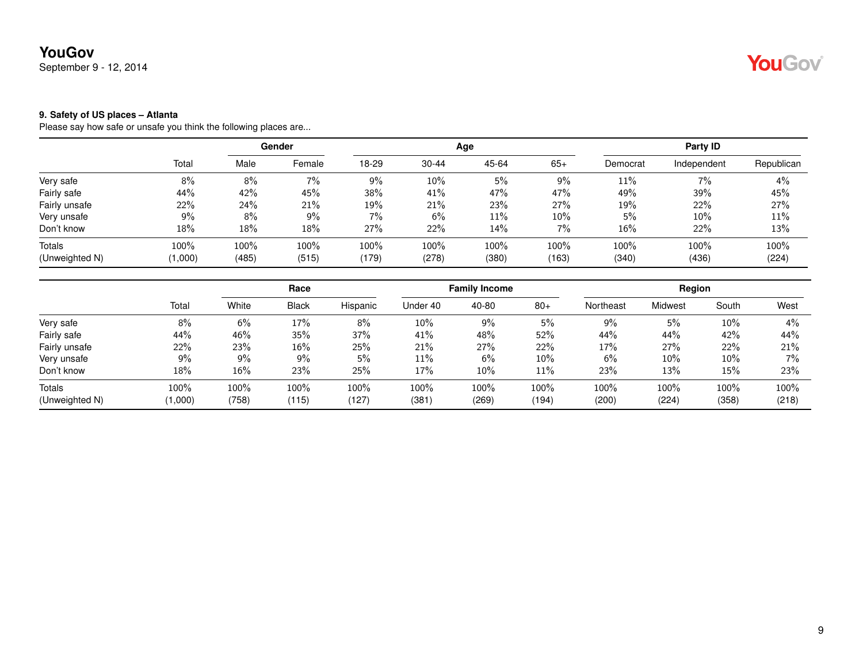September 9 - 12, 2014

#### **9. Safety of US places – Atlanta**

|                |         |       | Gender |       |           | Age   |       |          | Party ID    |            |
|----------------|---------|-------|--------|-------|-----------|-------|-------|----------|-------------|------------|
|                | Total   | Male  | Female | 18-29 | $30 - 44$ | 45-64 | $65+$ | Democrat | Independent | Republican |
| Very safe      | 8%      | 8%    | 7%     | 9%    | 10%       | 5%    | 9%    | 11%      | 7%          | 4%         |
| Fairly safe    | 44%     | 42%   | 45%    | 38%   | 41%       | 47%   | 47%   | 49%      | 39%         | 45%        |
| Fairly unsafe  | 22%     | 24%   | 21%    | 19%   | 21%       | 23%   | 27%   | 19%      | 22%         | 27%        |
| Very unsafe    | 9%      | 8%    | $9\%$  | 7%    | 6%        | 11%   | 10%   | 5%       | $10\%$      | $11\%$     |
| Don't know     | 18%     | 18%   | 18%    | 27%   | 22%       | 14%   | $7\%$ | 16%      | 22%         | 13%        |
| Totals         | 100%    | 100%  | 100%   | 100%  | 100%      | 100%  | 100%  | 100%     | 100%        | 100%       |
| (Unweighted N) | (1,000) | (485) | (515)  | (179) | (278)     | (380) | (163) | (340)    | (436)       | (224)      |

|                          |                 | Race          |               | <b>Family Income</b> |               |               | Region        |               |               |               |               |
|--------------------------|-----------------|---------------|---------------|----------------------|---------------|---------------|---------------|---------------|---------------|---------------|---------------|
|                          | Total           | White         | <b>Black</b>  | Hispanic             | Under 40      | 40-80         | $80+$         | Northeast     | Midwest       | South         | West          |
| Very safe                | 8%              | 6%            | 17%           | 8%                   | 10%           | $9\%$         | 5%            | 9%            | 5%            | 10%           | 4%            |
| Fairly safe              | 44%             | 46%           | 35%           | 37%                  | 41%           | 48%           | 52%           | 44%           | 44%           | 42%           | 44%           |
| Fairly unsafe            | 22%             | 23%           | 16%           | 25%                  | 21%           | 27%           | 22%           | 17%           | 27%           | 22%           | 21%           |
| Very unsafe              | 9%              | 9%            | 9%            | 5%                   | 11%           | 6%            | $10\%$        | 6%            | 10%           | 10%           | 7%            |
| Don't know               | 18%             | 16%           | 23%           | 25%                  | 17%           | 10%           | 11%           | 23%           | 13%           | 15%           | 23%           |
| Totals<br>(Unweighted N) | 100%<br>(000, 1 | 100%<br>(758) | 100%<br>(115) | 100%<br>(127)        | 100%<br>(381) | 100%<br>(269) | 100%<br>(194) | 100%<br>(200) | 100%<br>(224) | 100%<br>(358) | 100%<br>(218) |

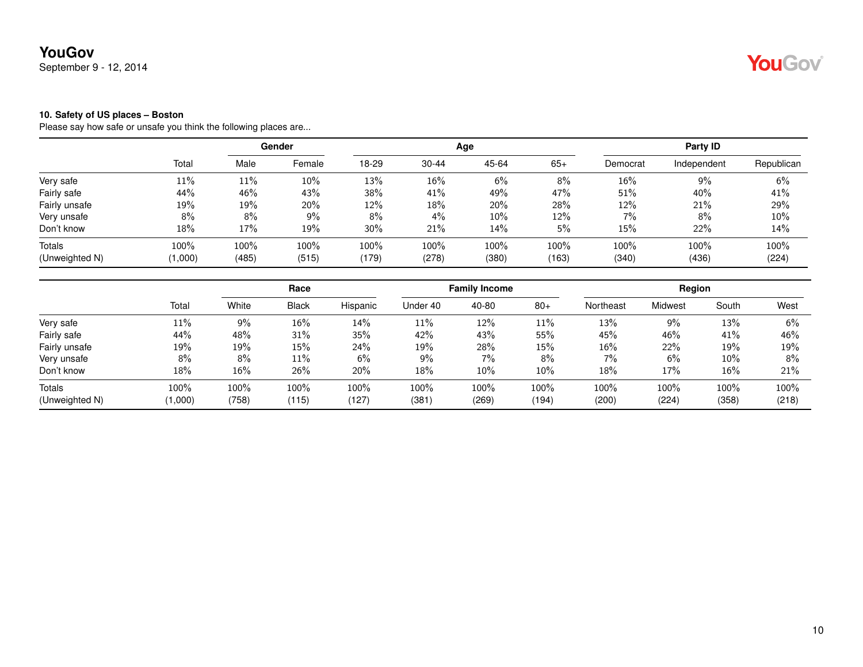September 9 - 12, 2014

#### **10. Safety of US places – Boston**

|                |         | Gender |        |       |           | Age   | Party ID |          |             |            |
|----------------|---------|--------|--------|-------|-----------|-------|----------|----------|-------------|------------|
|                | Total   | Male   | Female | 18-29 | $30 - 44$ | 45-64 | $65+$    | Democrat | Independent | Republican |
| Very safe      | 11%     | 11%    | $10\%$ | 13%   | 16%       | 6%    | 8%       | 16%      | 9%          | 6%         |
| Fairly safe    | 44%     | 46%    | 43%    | 38%   | 41%       | 49%   | 47%      | 51%      | 40%         | 41%        |
| Fairly unsafe  | 19%     | 19%    | 20%    | 12%   | 18%       | 20%   | 28%      | 12%      | 21%         | 29%        |
| Very unsafe    | 8%      | 8%     | $9\%$  | 8%    | 4%        | 10%   | 12%      | $7\%$    | 8%          | $10\%$     |
| Don't know     | 18%     | 17%    | 19%    | 30%   | 21%       | 14%   | 5%       | 15%      | 22%         | 14%        |
| Totals         | 100%    | 100%   | 100%   | 100%  | 100%      | 100%  | 100%     | 100%     | 100%        | 100%       |
| (Unweighted N) | (1,000) | (485)  | (515)  | (179) | (278)     | (380) | (163)    | (340)    | (436)       | (224)      |

|                          |                 | Race          |               | <b>Family Income</b> |              |               | Region        |               |               |               |               |
|--------------------------|-----------------|---------------|---------------|----------------------|--------------|---------------|---------------|---------------|---------------|---------------|---------------|
|                          | Total           | White         | <b>Black</b>  | Hispanic             | Under 40     | 40-80         | $80+$         | Northeast     | Midwest       | South         | West          |
| Very safe                | 11%             | 9%            | 16%           | 14%                  | 11%          | 12%           | 11%           | 13%           | 9%            | 13%           | 6%            |
| Fairly safe              | 44%             | 48%           | 31%           | 35%                  | 42%          | 43%           | 55%           | 45%           | 46%           | 41%           | 46%           |
| Fairly unsafe            | 19%             | 19%           | 15%           | 24%                  | 19%          | 28%           | 15%           | 16%           | 22%           | 19%           | 19%           |
| Very unsafe              | 8%              | 8%            | 11%           | 6%                   | 9%           | 7%            | 8%            | 7%            | 6%            | $10\%$        | 8%            |
| Don't know               | 18%             | $16\%$        | 26%           | 20%                  | 18%          | 10%           | $10\%$        | 18%           | 17%           | 16%           | 21%           |
| Totals<br>(Unweighted N) | 100%<br>(1,000) | 100%<br>(758) | 100%<br>(115) | 100%<br>(127)        | 100%<br>(381 | 100%<br>(269) | 100%<br>(194) | 100%<br>(200) | 100%<br>(224) | 100%<br>(358) | 100%<br>(218) |

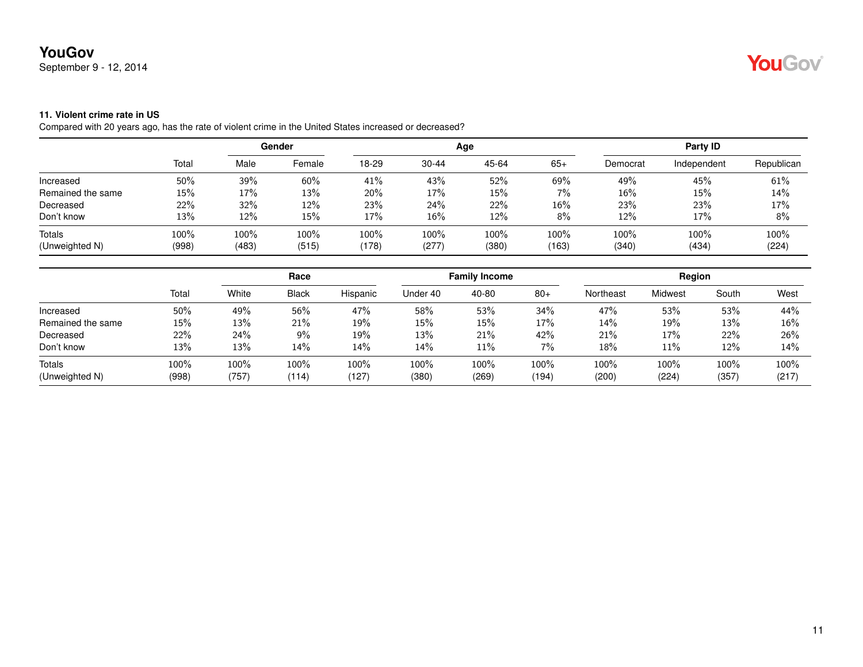September 9 - 12, 2014

## YouGov®

#### **11. Violent crime rate in US**

Compared with 20 years ago, has the rate of violent crime in the United States increased or decreased?

|                   |       | Gender |        |       |           | Age   | Party ID |          |             |            |
|-------------------|-------|--------|--------|-------|-----------|-------|----------|----------|-------------|------------|
|                   | Total | Male   | Female | 18-29 | $30 - 44$ | 45-64 | $65+$    | Democrat | Independent | Republican |
| Increased         | 50%   | 39%    | 60%    | 41%   | 43%       | 52%   | 69%      | 49%      | 45%         | 61%        |
| Remained the same | 15%   | 17%    | 13%    | 20%   | 17%       | 15%   | $7\%$    | 16%      | 15%         | 14%        |
| Decreased         | 22%   | 32%    | 12%    | 23%   | 24%       | 22%   | 16%      | 23%      | 23%         | 17%        |
| Don't know        | 13%   | 12%    | 15%    | 17%   | 16%       | 12%   | 8%       | 12%      | 17%         | 8%         |
| <b>Totals</b>     | 100%  | 100%   | 100%   | 100%  | 100%      | 100%  | 100%     | 100%     | 100%        | 100%       |
| (Unweighted N)    | (998) | (483)  | (515)  | (178) | (277)     | (380) | (163)    | (340)    | (434)       | (224)      |

|                   |       | Race    |              |          | <b>Family Income</b> |        |       | Region    |         |       |       |
|-------------------|-------|---------|--------------|----------|----------------------|--------|-------|-----------|---------|-------|-------|
|                   | Total | White   | <b>Black</b> | Hispanic | Under 40             | 40-80  | $80+$ | Northeast | Midwest | South | West  |
| Increased         | 50%   | 49%     | 56%          | 47%      | 58%                  | 53%    | 34%   | 47%       | 53%     | 53%   | 44%   |
| Remained the same | 15%   | 13%     | 21%          | 19%      | 15%                  | 15%    | 17%   | 14%       | 19%     | 13%   | 16%   |
| Decreased         | 22%   | 24%     | 9%           | 19%      | 13%                  | 21%    | 42%   | 21%       | 17%     | 22%   | 26%   |
| Don't know        | 13%   | 13%     | 14%          | 14%      | 14%                  | $11\%$ | 7%    | 18%       | 11%     | 12%   | 14%   |
| Totals            | 100%  | $100\%$ | 100%         | 100%     | 100%                 | 100%   | 100%  | 100%      | 100%    | 100%  | 100%  |
| (Unweighted N)    | (998) | (757)   | (114)        | (127)    | (380)                | (269)  | (194) | (200)     | (224)   | (357) | (217) |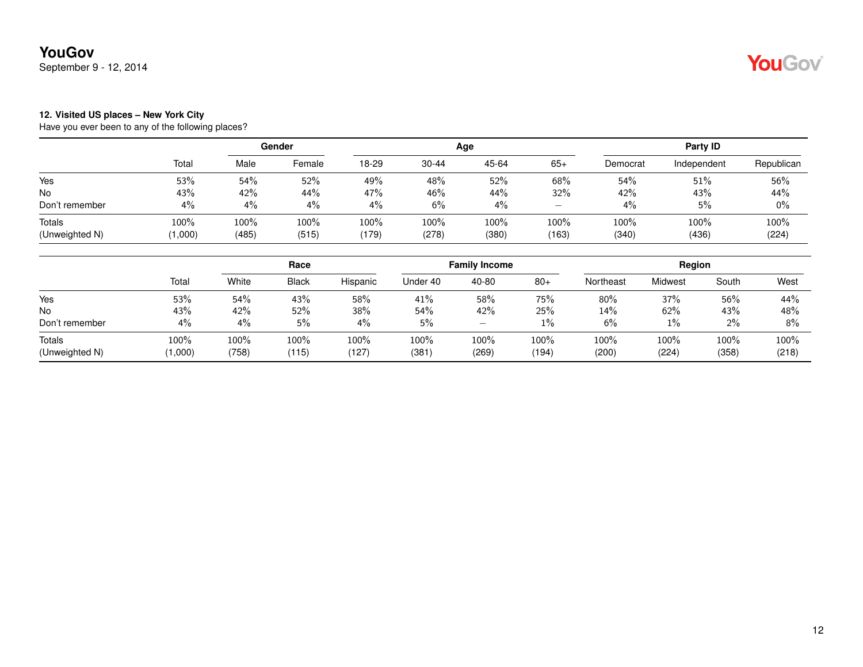September 9 - 12, 2014

## YouGov®

#### **12. Visited US places – New York City**

|                                 |                 |               | Gender        |               |               | Age           |                                       |               | Party ID      |               |
|---------------------------------|-----------------|---------------|---------------|---------------|---------------|---------------|---------------------------------------|---------------|---------------|---------------|
|                                 | Total           | Male          | Female        | 18-29         | $30 - 44$     | 45-64         | $65+$                                 | Democrat      | Independent   | Republican    |
| Yes                             | 53%             | 54%           | 52%           | 49%           | 48%           | 52%           | 68%                                   | 54%           | 51%           | 56%           |
| No                              | 43%             | 42%           | 44%           | 47%           | 46%           | 44%           | 32%                                   | 42%           | 43%           | 44%           |
| Don't remember                  | 4%              | 4%            | 4%            | 4%            | 6%            | 4%            | $\hspace{1.0cm} \rule{1.5cm}{0.15cm}$ | 4%            | 5%            | $0\%$         |
| <b>Totals</b><br>(Unweighted N) | 100%<br>(1,000) | 100%<br>(485) | 100%<br>(515) | 100%<br>(179) | 100%<br>(278) | 100%<br>(380) | 100%<br>(163)                         | 100%<br>(340) | 100%<br>(436) | 100%<br>(224) |

|                          |                 | Race          |               |               | <b>Family Income</b> |               |               | Region        |               |               |               |
|--------------------------|-----------------|---------------|---------------|---------------|----------------------|---------------|---------------|---------------|---------------|---------------|---------------|
|                          | Total           | White         | <b>Black</b>  | Hispanic      | Under 40             | 40-80         | $80+$         | Northeast     | Midwest       | South         | West          |
| Yes                      | 53%             | 54%           | 43%           | 58%           | 41%                  | 58%           | 75%           | 80%           | 37%           | 56%           | 44%           |
| No                       | 43%             | 42%           | 52%           | 38%           | 54%                  | 42%           | 25%           | 14%           | 62%           | 43%           | 48%           |
| Don't remember           | 4%              | 4%            | 5%            | $4\%$         | 5%                   | –             | 1%            | 6%            | 1%            | $2\%$         | $8\%$         |
| Totals<br>(Unweighted N) | 100%<br>(1,000) | 100%<br>(758) | 100%<br>(115) | 100%<br>(127) | 100%<br>(381)        | 100%<br>(269) | 100%<br>(194) | 100%<br>(200) | 100%<br>(224) | 100%<br>(358) | 100%<br>(218) |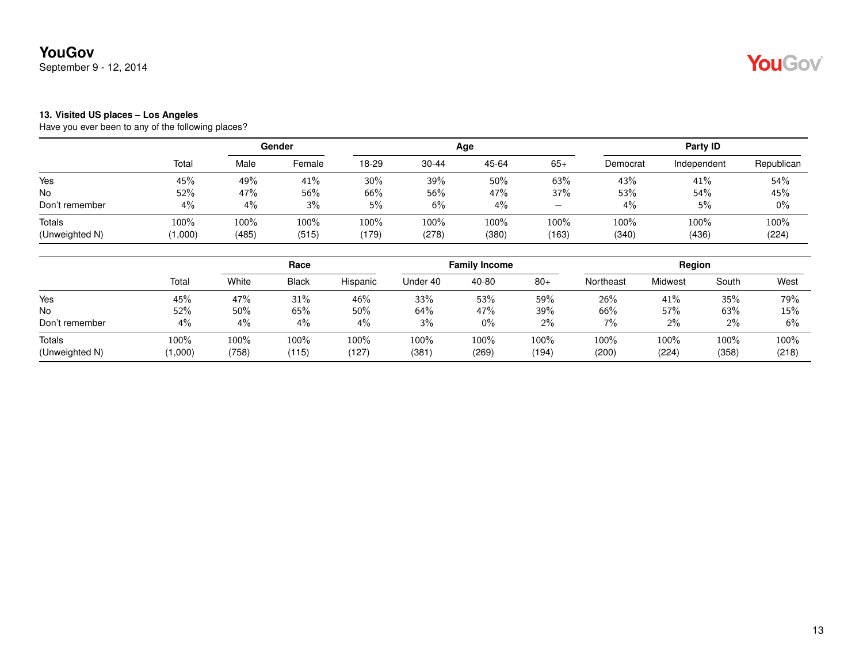September 9 - 12, 2014

## YouGov®

#### **13. Visited US places – Los Angeles**

|                |         | Gender |        |       |           | Age   | Party ID                 |          |             |            |
|----------------|---------|--------|--------|-------|-----------|-------|--------------------------|----------|-------------|------------|
|                | Total   | Male   | Female | 18-29 | $30 - 44$ | 45-64 | $65+$                    | Democrat | Independent | Republican |
| Yes            | 45%     | 49%    | 41%    | 30%   | 39%       | 50%   | 63%                      | 43%      | 41%         | 54%        |
| <b>No</b>      | 52%     | 47%    | 56%    | 66%   | 56%       | 47%   | 37%                      | 53%      | 54%         | 45%        |
| Don't remember | 4%      | 4%     | 3%     | 5%    | 6%        | 4%    | $\overline{\phantom{a}}$ | 4%       | 5%          | $0\%$      |
| Totals         | 100%    | 100%   | 100%   | 100%  | 100%      | 100%  | 100%                     | 100%     | 100%        | 100%       |
| (Unweighted N) | (1,000) | (485)  | (515)  | (179) | (278)     | (380) | (163)                    | (340)    | (436)       | (224)      |

|                          |                 | Race          |               |               |               | <b>Family Income</b> |               | Region        |               |               |               |
|--------------------------|-----------------|---------------|---------------|---------------|---------------|----------------------|---------------|---------------|---------------|---------------|---------------|
|                          | Total           | White         | <b>Black</b>  | Hispanic      | Under 40      | 40-80                | $80+$         | Northeast     | Midwest       | South         | West          |
| Yes                      | 45%             | 47%           | 31%           | 46%           | 33%           | 53%                  | 59%           | 26%           | 41%           | 35%           | 79%           |
| No                       | 52%             | 50%           | 65%           | $50\%$        | 64%           | 47%                  | 39%           | 66%           | 57%           | 63%           | 15%           |
| Don't remember           | 4%              | 4%            | 4%            | 4%            | 3%            | $0\%$                | $2\%$         | 7%            | 2%            | $2\%$         | 6%            |
| Totals<br>(Unweighted N) | 100%<br>(1,000) | 100%<br>(758) | 100%<br>(115) | 100%<br>(127) | 100%<br>(381) | 100%<br>(269)        | 100%<br>(194) | 100%<br>(200) | 100%<br>(224) | 100%<br>(358) | 100%<br>(218) |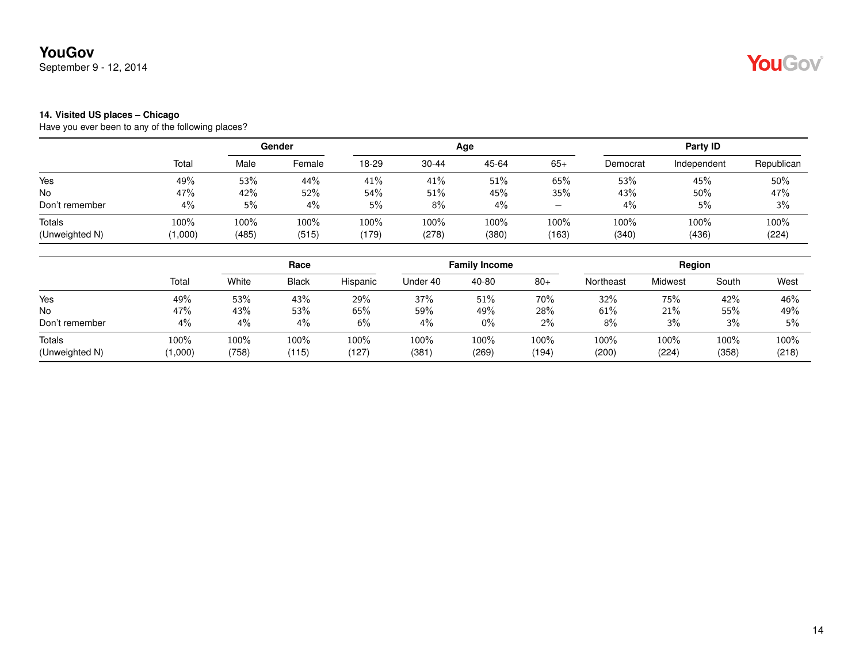September 9 - 12, 2014

## YouGov®

#### **14. Visited US places – Chicago**

|                 | Gender        |               |               |               |               | Party ID          |               |               |               |
|-----------------|---------------|---------------|---------------|---------------|---------------|-------------------|---------------|---------------|---------------|
| Total           | Male          | Female        | 18-29         | $30 - 44$     | 45-64         | $65+$             | Democrat      | Independent   | Republican    |
| 49%             | 53%           | 44%           | 41%           | 41%           | 51%           | 65%               | 53%           | 45%           | 50%           |
| 47%             | 42%           | 52%           | 54%           | 51%           | 45%           | 35%               | 43%           | 50%           | 47%           |
| 4%              | 5%            | 4%            | 5%            | 8%            | 4%            | $\qquad \qquad -$ | 4%            | 5%            | 3%            |
| 100%<br>(1,000) | 100%<br>(485) | 100%<br>(515) | 100%<br>(179) | 100%<br>(278) | 100%<br>(380) | 100%<br>(163)     | 100%<br>(340) | 100%<br>(436) | 100%<br>(224) |
|                 |               |               |               |               |               | Age               |               |               |               |

|                          |                 | Race          |               |               |               | <b>Family Income</b> |               | Region        |               |               |               |
|--------------------------|-----------------|---------------|---------------|---------------|---------------|----------------------|---------------|---------------|---------------|---------------|---------------|
|                          | Total           | White         | <b>Black</b>  | Hispanic      | Under 40      | 40-80                | $80+$         | Northeast     | Midwest       | South         | West          |
| Yes                      | 49%             | 53%           | 43%           | 29%           | 37%           | 51%                  | 70%           | 32%           | 75%           | 42%           | 46%           |
| No                       | 47%             | 43%           | 53%           | 65%           | 59%           | 49%                  | 28%           | 61%           | 21%           | 55%           | 49%           |
| Don't remember           | 4%              | 4%            | 4%            | $6\%$         | 4%            | $0\%$                | $2\%$         | 8%            | 3%            | 3%            | 5%            |
| Totals<br>(Unweighted N) | 100%<br>(1,000) | 100%<br>(758) | 100%<br>(115) | 100%<br>(127) | 100%<br>(381) | 100%<br>(269)        | 100%<br>(194) | 100%<br>(200) | 100%<br>(224) | 100%<br>(358) | 100%<br>(218) |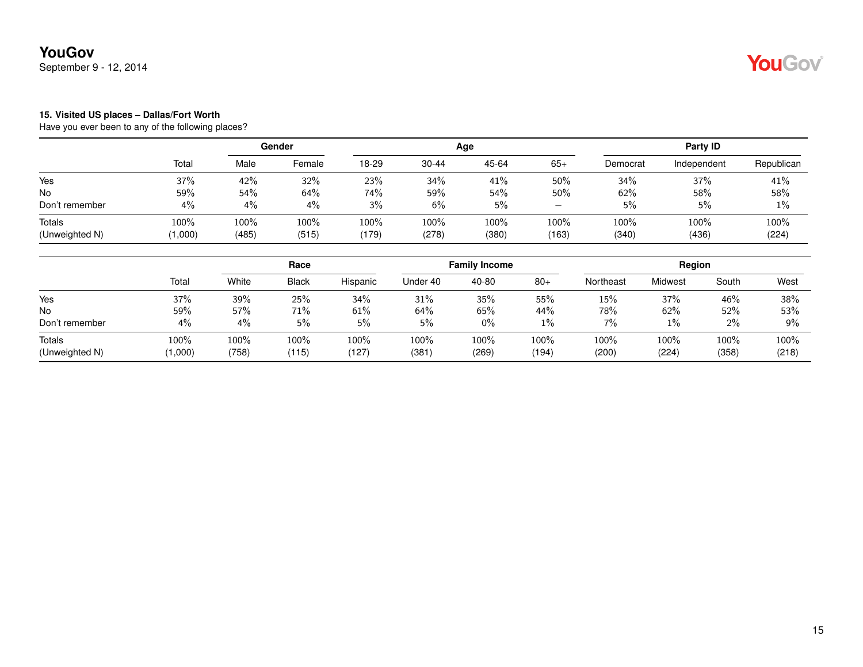September 9 - 12, 2014

## YouGov®

#### **15. Visited US places – Dallas/Fort Worth**

|                                 |                 | Gender        |               |               |               | Age           | Party ID          |               |               |               |
|---------------------------------|-----------------|---------------|---------------|---------------|---------------|---------------|-------------------|---------------|---------------|---------------|
|                                 | Total           | Male          | Female        | 18-29         | $30 - 44$     | 45-64         | $65+$             | Democrat      | Independent   | Republican    |
| Yes                             | 37%             | 42%           | 32%           | 23%           | 34%           | 41%           | 50%               | 34%           | 37%           | 41%           |
| No                              | 59%             | 54%           | 64%           | 74%           | 59%           | 54%           | 50%               | 62%           | 58%           | 58%           |
| Don't remember                  | 4%              | 4%            | 4%            | 3%            | 6%            | 5%            | $\qquad \qquad -$ | 5%            | 5%            | 1%            |
| <b>Totals</b><br>(Unweighted N) | 100%<br>(1,000) | 100%<br>(485) | 100%<br>(515) | 100%<br>(179) | 100%<br>(278) | 100%<br>(380) | 100%<br>(163)     | 100%<br>(340) | 100%<br>(436) | 100%<br>(224) |

|                          |                 |               | Race          |               |              | <b>Family Income</b> |               | Region        |               |                  |               |
|--------------------------|-----------------|---------------|---------------|---------------|--------------|----------------------|---------------|---------------|---------------|------------------|---------------|
|                          | Total           | White         | <b>Black</b>  | Hispanic      | Under 40     | 40-80                | $80+$         | Northeast     | Midwest       | South            | West          |
| Yes                      | 37%             | 39%           | 25%           | 34%           | 31%          | 35%                  | 55%           | 15%           | 37%           | 46%              | 38%           |
| No                       | 59%             | 57%           | 71%           | 61%           | 64%          | 65%                  | 44%           | 78%           | 62%           | 52%              | 53%           |
| Don't remember           | 4%              | $4\%$         | 5%            | 5%            | 5%           | $0\%$                | 1%            | 7%            | $1\%$         | $2\%$            | 9%            |
| Totals<br>(Unweighted N) | 100%<br>(1,000) | 100%<br>(758) | 100%<br>(115) | 100%<br>(127) | 100%<br>(381 | 100%<br>(269)        | 100%<br>(194) | 100%<br>(200) | 100%<br>(224) | $100\%$<br>(358) | 100%<br>(218) |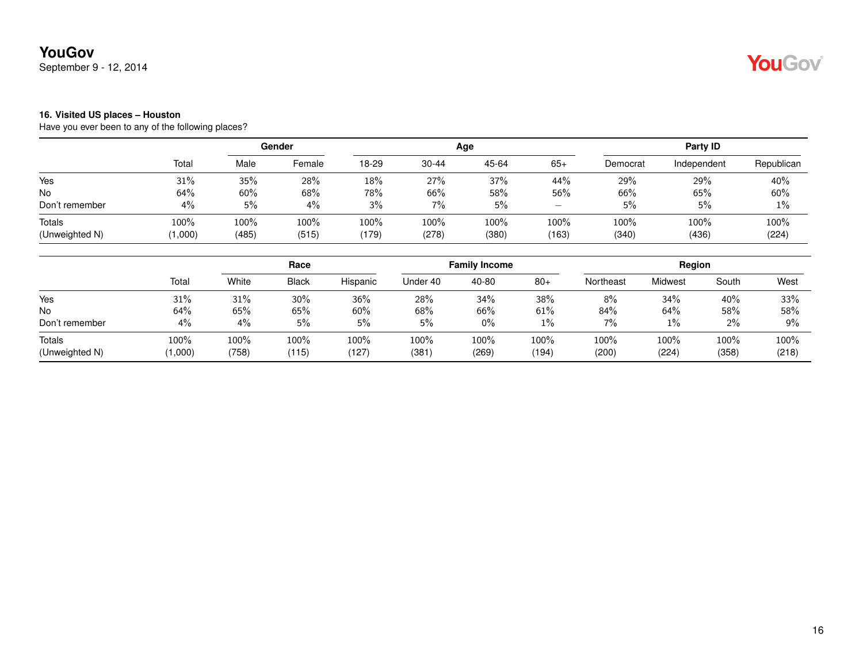September 9 - 12, 2014

## YouGov®

#### **16. Visited US places – Houston**

|                          |                    | Gender        |               |               |               | Age           | Party ID                              |               |               |               |
|--------------------------|--------------------|---------------|---------------|---------------|---------------|---------------|---------------------------------------|---------------|---------------|---------------|
|                          | Total              | Male          | Female        | 18-29         | $30 - 44$     | 45-64         | $65+$                                 | Democrat      | Independent   | Republican    |
| Yes                      | 31%                | 35%           | 28%           | 18%           | 27%           | 37%           | 44%                                   | 29%           | 29%           | 40%           |
| <b>No</b>                | 64%                | 60%           | 68%           | 78%           | 66%           | 58%           | 56%                                   | 66%           | 65%           | 60%           |
| Don't remember           | 4%                 | 5%            | 4%            | 3%            | $7\%$         | 5%            | $\hspace{1.0cm} \rule{1.5cm}{0.15cm}$ | 5%            | 5%            | 1%            |
| Totals<br>(Unweighted N) | $100\%$<br>(1,000) | 100%<br>(485) | 100%<br>(515) | 100%<br>(179) | 100%<br>(278) | 100%<br>(380) | 100%<br>(163)                         | 100%<br>(340) | 100%<br>(436) | 100%<br>(224) |

|                          |                 | Race          |               |               |               | <b>Family Income</b> |               | Region        |               |               |               |
|--------------------------|-----------------|---------------|---------------|---------------|---------------|----------------------|---------------|---------------|---------------|---------------|---------------|
|                          | Total           | White         | <b>Black</b>  | Hispanic      | Under 40      | 40-80                | $80+$         | Northeast     | Midwest       | South         | West          |
| Yes                      | 31%             | 31%           | 30%           | 36%           | 28%           | 34%                  | 38%           | 8%            | 34%           | 40%           | 33%           |
| No                       | 64%             | 65%           | 65%           | 60%           | 68%           | 66%                  | 61%           | 84%           | 64%           | 58%           | 58%           |
| Don't remember           | 4%              | 4%            | 5%            | 5%            | 5%            | $0\%$                | 1%            | 7%            | 1%            | $2\%$         | 9%            |
| Totals<br>(Unweighted N) | 100%<br>(1,000) | 100%<br>(758) | 100%<br>(115) | 100%<br>(127) | 100%<br>(381) | 100%<br>(269)        | 100%<br>(194) | 100%<br>(200) | 100%<br>(224) | 100%<br>(358) | 100%<br>(218) |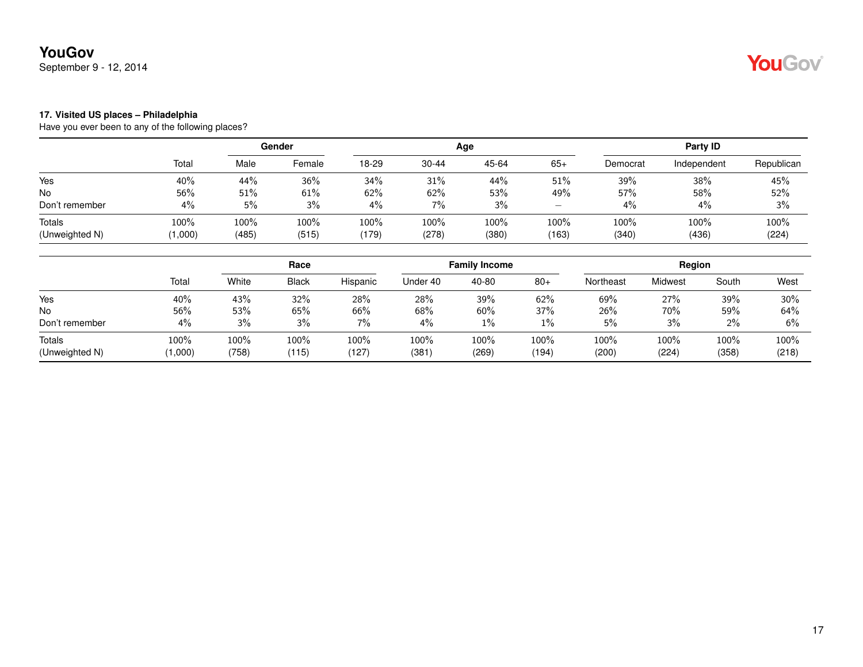September 9 - 12, 2014

# YouGov®

#### **17. Visited US places – Philadelphia**

|                          |                    |               | Gender        |               |               | Age           |                                       |               | Party ID      |               |
|--------------------------|--------------------|---------------|---------------|---------------|---------------|---------------|---------------------------------------|---------------|---------------|---------------|
|                          | Total              | Male          | Female        | 18-29         | $30 - 44$     | 45-64         | $65+$                                 | Democrat      | Independent   | Republican    |
| Yes                      | 40%                | 44%           | 36%           | 34%           | 31%           | 44%           | 51%                                   | 39%           | 38%           | 45%           |
| <b>No</b>                | 56%                | 51%           | 61%           | 62%           | 62%           | 53%           | 49%                                   | 57%           | 58%           | 52%           |
| Don't remember           | 4%                 | 5%            | 3%            | 4%            | $7\%$         | 3%            | $\hspace{1.0cm} \rule{1.5cm}{0.15cm}$ | 4%            | 4%            | 3%            |
| Totals<br>(Unweighted N) | $100\%$<br>(1,000) | 100%<br>(485) | 100%<br>(515) | 100%<br>(179) | 100%<br>(278) | 100%<br>(380) | 100%<br>(163)                         | 100%<br>(340) | 100%<br>(436) | 100%<br>(224) |

|                          |                 |               | Race          |               |              | <b>Family Income</b> |               | Region        |               |               |               |
|--------------------------|-----------------|---------------|---------------|---------------|--------------|----------------------|---------------|---------------|---------------|---------------|---------------|
|                          | Total           | White         | <b>Black</b>  | Hispanic      | Under 40     | 40-80                | $80+$         | Northeast     | Midwest       | South         | West          |
| Yes                      | 40%             | 43%           | 32%           | 28%           | 28%          | 39%                  | 62%           | 69%           | 27%           | 39%           | 30%           |
| No                       | 56%             | 53%           | 65%           | 66%           | 68%          | 60%                  | 37%           | 26%           | 70%           | 59%           | 64%           |
| Don't remember           | 4%              | 3%            | 3%            | 7%            | 4%           | $1\%$                | $1\%$         | 5%            | 3%            | $2\%$         | 6%            |
| Totals<br>(Unweighted N) | 100%<br>(1,000) | 100%<br>(758) | 100%<br>(115) | 100%<br>(127) | 100%<br>(381 | 100%<br>(269)        | 100%<br>(194) | 100%<br>(200) | 100%<br>(224) | 100%<br>(358) | 100%<br>(218) |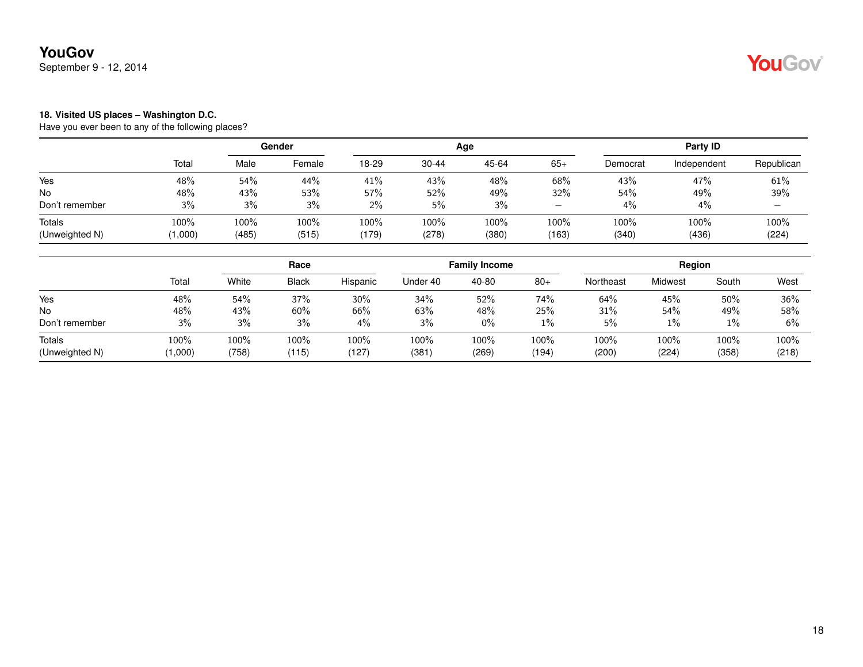September 9 - 12, 2014

## YouGov®

#### **18. Visited US places – Washington D.C.**

|                                 |                 | Gender        |               |               |               | Age           | Party ID          |               |               |                          |
|---------------------------------|-----------------|---------------|---------------|---------------|---------------|---------------|-------------------|---------------|---------------|--------------------------|
|                                 | Total           | Male          | Female        | 18-29         | $30 - 44$     | 45-64         | $65+$             | Democrat      | Independent   | Republican               |
| Yes                             | 48%             | 54%           | 44%           | 41%           | 43%           | 48%           | 68%               | 43%           | 47%           | 61%                      |
| No                              | 48%             | 43%           | 53%           | 57%           | 52%           | 49%           | 32%               | 54%           | 49%           | 39%                      |
| Don't remember                  | 3%              | 3%            | 3%            | $2\%$         | 5%            | 3%            | $\qquad \qquad -$ | 4%            | 4%            | $\overline{\phantom{0}}$ |
| <b>Totals</b><br>(Unweighted N) | 100%<br>(1,000) | 100%<br>(485) | 100%<br>(515) | 100%<br>(179) | 100%<br>(278) | 100%<br>(380) | 100%<br>(163)     | 100%<br>(340) | 100%<br>(436) | 100%<br>(224)            |

|                          |                 | Race          |               |               |               | <b>Family Income</b> |               | Region        |               |               |               |
|--------------------------|-----------------|---------------|---------------|---------------|---------------|----------------------|---------------|---------------|---------------|---------------|---------------|
|                          | Total           | White         | <b>Black</b>  | Hispanic      | Under 40      | 40-80                | $80+$         | Northeast     | Midwest       | South         | West          |
| Yes                      | 48%             | 54%           | 37%           | 30%           | 34%           | 52%                  | 74%           | 64%           | 45%           | 50%           | 36%           |
| No                       | 48%             | 43%           | 60%           | 66%           | 63%           | 48%                  | 25%           | 31%           | 54%           | 49%           | 58%           |
| Don't remember           | 3%              | 3%            | 3%            | $4\%$         | 3%            | $0\%$                | 1%            | 5%            | 1%            | $1\%$         | 6%            |
| Totals<br>(Unweighted N) | 100%<br>(1,000) | 100%<br>(758) | 100%<br>(115) | 100%<br>(127) | 100%<br>(381) | 100%<br>(269)        | 100%<br>(194) | 100%<br>(200) | 100%<br>(224) | 100%<br>(358) | 100%<br>(218) |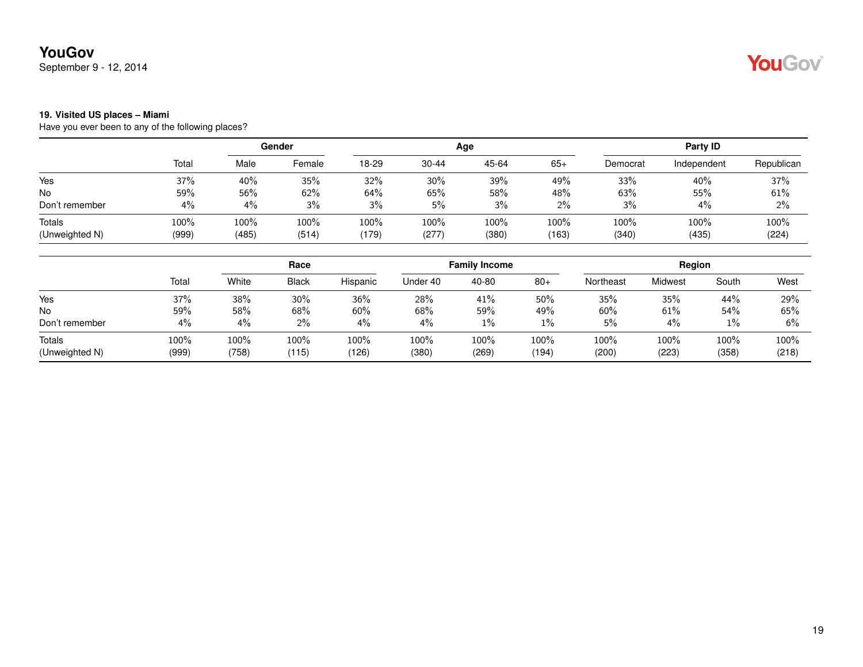September 9 - 12, 2014

## YouGov®

#### **19. Visited US places – Miami**

|       | Gender |                |       |           |       | Party ID     |          |             |               |
|-------|--------|----------------|-------|-----------|-------|--------------|----------|-------------|---------------|
| Total | Male   | Female         | 18-29 | $30 - 44$ | 45-64 | $65+$        | Democrat | Independent | Republican    |
| 37%   | 40%    | 35%            | 32%   | 30%       | 39%   | 49%          | 33%      | 40%         | 37%           |
| 59%   | 56%    | 62%            | 64%   | 65%       | 58%   | 48%          | 63%      | 55%         | 61%           |
| 4%    | 4%     | 3%             | 3%    | 5%        | 3%    | 2%           | 3%       | 4%          | 2%            |
| 100%  | 100%   | 100%           | 100%  | 100%      | 100%  | 100%         | $100\%$  | 100%        | 100%<br>(224) |
|       |        | (999)<br>(485) | (514) | (179)     | (277) | Age<br>(380) | (163)    | (340)       | (435)         |

|                          |               | Race          |               |               | <b>Family Income</b> |               |               | Region        |               |               |               |
|--------------------------|---------------|---------------|---------------|---------------|----------------------|---------------|---------------|---------------|---------------|---------------|---------------|
|                          | Total         | White         | <b>Black</b>  | Hispanic      | Under 40             | 40-80         | $80+$         | Northeast     | Midwest       | South         | West          |
| Yes                      | 37%           | 38%           | 30%           | 36%           | 28%                  | 41%           | 50%           | 35%           | 35%           | 44%           | 29%           |
| No                       | 59%           | 58%           | 68%           | 60%           | 68%                  | 59%           | 49%           | 60%           | 61%           | 54%           | 65%           |
| Don't remember           | 4%            | 4%            | 2%            | $4\%$         | $4\%$                | 1%            | 1%            | 5%            | 4%            | $1\%$         | 6%            |
| Totals<br>(Unweighted N) | 100%<br>(999) | 100%<br>(758) | 100%<br>(115) | 100%<br>(126) | 100%<br>(380)        | 100%<br>(269) | 100%<br>(194) | 100%<br>(200) | 100%<br>(223) | 100%<br>(358) | 100%<br>(218) |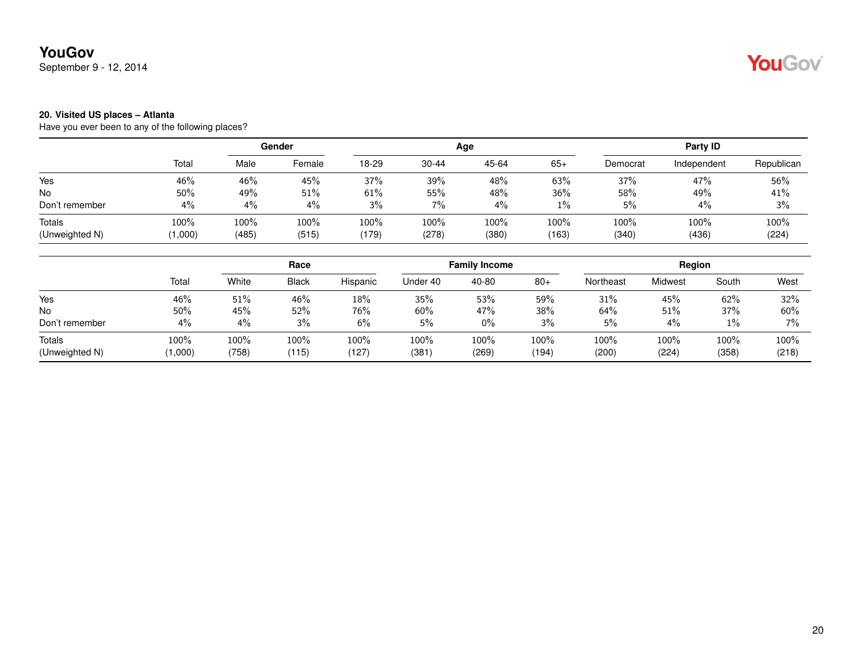September 9 - 12, 2014

## YouGov®

#### **20. Visited US places – Atlanta**

|                          |                    | Gender        |               |               |               | Age           | Party ID      |                  |               |               |
|--------------------------|--------------------|---------------|---------------|---------------|---------------|---------------|---------------|------------------|---------------|---------------|
|                          | Total              | Male          | Female        | 18-29         | $30 - 44$     | 45-64         | $65+$         | Democrat         | Independent   | Republican    |
| Yes                      | 46%                | 46%           | 45%           | 37%           | 39%           | 48%           | 63%           | 37%              | 47%           | 56%           |
| <b>No</b>                | 50%                | 49%           | 51%           | 61%           | 55%           | 48%           | 36%           | 58%              | 49%           | 41%           |
| Don't remember           | 4%                 | 4%            | 4%            | 3%            | $7\%$         | 4%            | $1\%$         | 5%               | 4%            | 3%            |
| Totals<br>(Unweighted N) | $100\%$<br>(1,000) | 100%<br>(485) | 100%<br>(515) | 100%<br>(179) | 100%<br>(278) | 100%<br>(380) | 100%<br>(163) | $100\%$<br>(340) | 100%<br>(436) | 100%<br>(224) |

|                          |                 | Race          |               |               | <b>Family Income</b> |               |               | Region        |               |               |               |
|--------------------------|-----------------|---------------|---------------|---------------|----------------------|---------------|---------------|---------------|---------------|---------------|---------------|
|                          | Total           | White         | <b>Black</b>  | Hispanic      | Under 40             | 40-80         | $80+$         | Northeast     | Midwest       | South         | West          |
| Yes                      | 46%             | 51%           | 46%           | 18%           | 35%                  | 53%           | 59%           | 31%           | 45%           | 62%           | 32%           |
| No                       | 50%             | 45%           | 52%           | 76%           | 60%                  | 47%           | 38%           | 64%           | 51%           | 37%           | 60%           |
| Don't remember           | 4%              | 4%            | 3%            | $6\%$         | 5%                   | $0\%$         | 3%            | 5%            | 4%            | $1\%$         | $7\%$         |
| Totals<br>(Unweighted N) | 100%<br>(1,000) | 100%<br>(758) | 100%<br>(115) | 100%<br>(127) | 100%<br>(381)        | 100%<br>(269) | 100%<br>(194) | 100%<br>(200) | 100%<br>(224) | 100%<br>(358) | 100%<br>(218) |